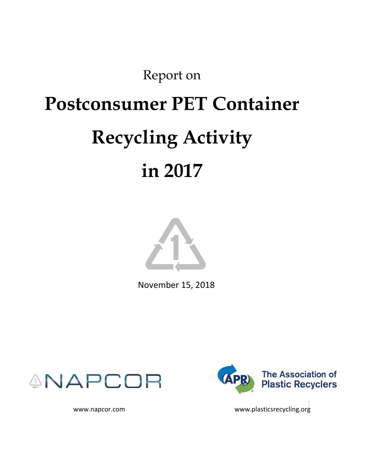# Report on

# **Postconsumer PET Container Recycling Activity**

# **in 2017**



November 15, 2018





www.napcor.com www.plasticsrecycling.org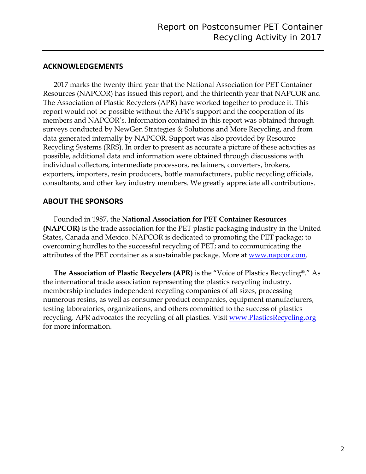# **ACKNOWLEDGEMENTS**

2017 marks the twenty third year that the National Association for PET Container Resources (NAPCOR) has issued this report, and the thirteenth year that NAPCOR and The Association of Plastic Recyclers (APR) have worked together to produce it. This report would not be possible without the APR's support and the cooperation of its members and NAPCOR's. Information contained in this report was obtained through surveys conducted by NewGen Strategies & Solutions and More Recycling, and from data generated internally by NAPCOR. Support was also provided by Resource Recycling Systems (RRS). In order to present as accurate a picture of these activities as possible, additional data and information were obtained through discussions with individual collectors, intermediate processors, reclaimers, converters, brokers, exporters, importers, resin producers, bottle manufacturers, public recycling officials, consultants, and other key industry members. We greatly appreciate all contributions.

# **ABOUT THE SPONSORS**

Founded in 1987, the **National Association for PET Container Resources (NAPCOR)** is the trade association for the PET plastic packaging industry in the United States, Canada and Mexico. NAPCOR is dedicated to promoting the PET package; to overcoming hurdles to the successful recycling of PET; and to communicating the attributes of the PET container as a sustainable package. More at <u>www.napcor.com</u>.

**The Association of Plastic Recyclers (APR)** is the "Voice of Plastics Recycling®." As the international trade association representing the plastics recycling industry, membership includes independent recycling companies of all sizes, processing numerous resins, as well as consumer product companies, equipment manufacturers, testing laboratories, organizations, and others committed to the success of plastics recycling. APR advocates the recycling of all plastics. Visit [www.PlasticsRecycling.org](http://www.plasticsrecycling.org/) for more information.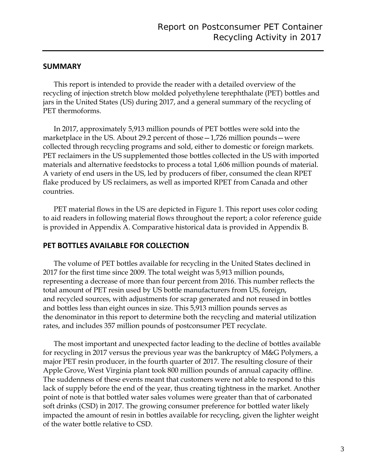#### **SUMMARY**

This report is intended to provide the reader with a detailed overview of the recycling of injection stretch blow molded polyethylene terephthalate (PET) bottles and jars in the United States (US) during 2017, and a general summary of the recycling of PET thermoforms.

In 2017, approximately 5,913 million pounds of PET bottles were sold into the marketplace in the US. About 29.2 percent of those—1,726 million pounds—were collected through recycling programs and sold, either to domestic or foreign markets. PET reclaimers in the US supplemented those bottles collected in the US with imported materials and alternative feedstocks to process a total 1,606 million pounds of material. A variety of end users in the US, led by producers of fiber, consumed the clean RPET flake produced by US reclaimers, as well as imported RPET from Canada and other countries.

PET material flows in the US are depicted in Figure 1. This report uses color coding to aid readers in following material flows throughout the report; a color reference guide is provided in Appendix A. Comparative historical data is provided in Appendix B.

#### **PET BOTTLES AVAILABLE FOR COLLECTION**

The volume of PET bottles available for recycling in the United States declined in 2017 for the first time since 2009. The total weight was 5,913 million pounds, representing a decrease of more than four percent from 2016. This number reflects the total amount of PET resin used by US bottle manufacturers from US, foreign, and recycled sources, with adjustments for scrap generated and not reused in bottles and bottles less than eight ounces in size. This 5,913 million pounds serves as the denominator in this report to determine both the recycling and material utilization rates, and includes 357 million pounds of postconsumer PET recyclate.

The most important and unexpected factor leading to the decline of bottles available for recycling in 2017 versus the previous year was the bankruptcy of M&G Polymers, a major PET resin producer, in the fourth quarter of 2017. The resulting closure of their Apple Grove, West Virginia plant took 800 million pounds of annual capacity offline. The suddenness of these events meant that customers were not able to respond to this lack of supply before the end of the year, thus creating tightness in the market. Another point of note is that bottled water sales volumes were greater than that of carbonated soft drinks (CSD) in 2017. The growing consumer preference for bottled water likely impacted the amount of resin in bottles available for recycling, given the lighter weight of the water bottle relative to CSD.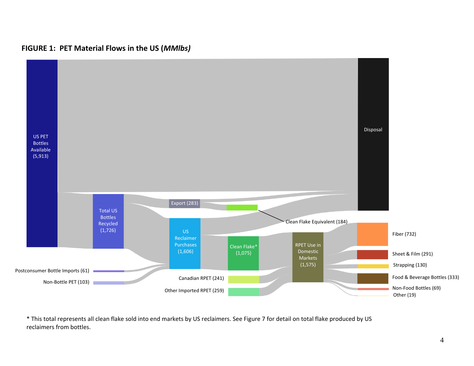

**FIGURE 1: PET Material Flows in the US (***MMlbs)*

\* This total represents all clean flake sold into end markets by US reclaimers. See Figure 7 for detail on total flake produced by US reclaimers from bottles.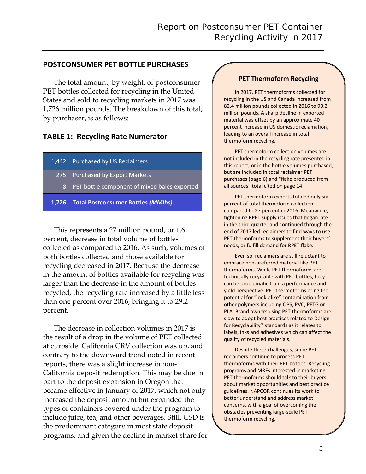# **POSTCONSUMER PET BOTTLE PURCHASES**

The total amount, by weight, of postconsumer PET bottles collected for recycling in the United States and sold to recycling markets in 2017 was 1,726 million pounds. The breakdown of this total, by purchaser, is as follows:

# **TABLE 1: Recycling Rate Numerator**

- 1,442 Purchased by US Reclaimers
	- 275 Purchased by Export Markets
		- 8 PET bottle component of mixed bales exported
- **1,726 Total Postconsumer Bottles** *(MMlbs)*

This represents a 27 million pound, or 1.6 percent, decrease in total volume of bottles collected as compared to 2016. As such, volumes of both bottles collected and those available for recycling decreased in 2017. Because the decrease in the amount of bottles available for recycling was larger than the decrease in the amount of bottles recycled, the recycling rate increased by a little less than one percent over 2016, bringing it to 29.2 percent.

The decrease in collection volumes in 2017 is the result of a drop in the volume of PET collected at curbside. California CRV collection was up, and contrary to the downward trend noted in recent reports, there was a slight increase in non-California deposit redemption. This may be due in part to the deposit expansion in Oregon that became effective in January of 2017, which not only increased the deposit amount but expanded the types of containers covered under the program to include juice, tea, and other beverages. Still, CSD is the predominant category in most state deposit programs, and given the decline in market share for

#### **PET Thermoform Recycling**

In 2017, PET thermoforms collected for recycling in the US and Canada increased from 82.4 million pounds collected in 2016 to 90.2 million pounds. A sharp decline in exported material was offset by an approximate 40 percent increase in US domestic reclamation, leading to an overall increase in total thermoform recycling.

PET thermoform collection volumes are not included in the recycling rate presented in this report, or in the bottle volumes purchased, but are included in total reclaimer PET purchases (page 6) and "flake produced from all sources" total cited on page 14.

PET thermoform exports totaled only six percent of total thermoform collection compared to 27 percent in 2016. Meanwhile, tightening RPET supply issues that began late in the third quarter and continued through the end of 2017 led reclaimers to find ways to use PET thermoforms to supplement their buyers' needs, or fulfill demand for RPET flake.

Even so, reclaimers are still reluctant to embrace non-preferred material like PET thermoforms. While PET thermoforms are technically recyclable with PET bottles, they can be problematic from a performance and yield perspective. PET thermoforms bring the potential for "look-alike" contamination from other polymers including OPS, PVC, PETG or PLA. Brand owners using PET thermoforms are slow to adopt best practices related to Design for Recyclability® standards as it relates to labels, inks and adhesives which can affect the quality of recycled materials.

Despite these challenges, some PET reclaimers continue to process PET thermoforms with their PET bottles. Recycling programs and MRFs interested in marketing PET thermoforms should talk to their buyers about market opportunities and best practice guidelines. NAPCOR continues its work to better understand and address market concerns, with a goal of overcoming the obstacles preventing large-scale PET thermoform recycling.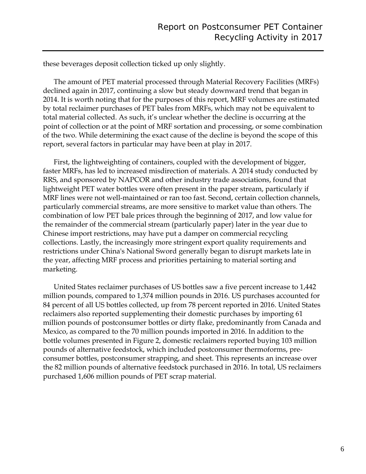these beverages deposit collection ticked up only slightly.

The amount of PET material processed through Material Recovery Facilities (MRFs) declined again in 2017, continuing a slow but steady downward trend that began in 2014. It is worth noting that for the purposes of this report, MRF volumes are estimated by total reclaimer purchases of PET bales from MRFs, which may not be equivalent to total material collected. As such, it's unclear whether the decline is occurring at the point of collection or at the point of MRF sortation and processing, or some combination of the two. While determining the exact cause of the decline is beyond the scope of this report, several factors in particular may have been at play in 2017.

First, the lightweighting of containers, coupled with the development of bigger, faster MRFs, has led to increased misdirection of materials. A 2014 study conducted by RRS, and sponsored by NAPCOR and other industry trade associations, found that lightweight PET water bottles were often present in the paper stream, particularly if MRF lines were not well-maintained or ran too fast. Second, certain collection channels, particularly commercial streams, are more sensitive to market value than others. The combination of low PET bale prices through the beginning of 2017, and low value for the remainder of the commercial stream (particularly paper) later in the year due to Chinese import restrictions, may have put a damper on commercial recycling collections. Lastly, the increasingly more stringent export quality requirements and restrictions under China's National Sword generally began to disrupt markets late in the year, affecting MRF process and priorities pertaining to material sorting and marketing.

United States reclaimer purchases of US bottles saw a five percent increase to 1,442 million pounds, compared to 1,374 million pounds in 2016. US purchases accounted for 84 percent of all US bottles collected, up from 78 percent reported in 2016. United States reclaimers also reported supplementing their domestic purchases by importing 61 million pounds of postconsumer bottles or dirty flake, predominantly from Canada and Mexico, as compared to the 70 million pounds imported in 2016. In addition to the bottle volumes presented in Figure 2, domestic reclaimers reported buying 103 million pounds of alternative feedstock, which included postconsumer thermoforms, preconsumer bottles, postconsumer strapping, and sheet. This represents an increase over the 82 million pounds of alternative feedstock purchased in 2016. In total, US reclaimers purchased 1,606 million pounds of PET scrap material.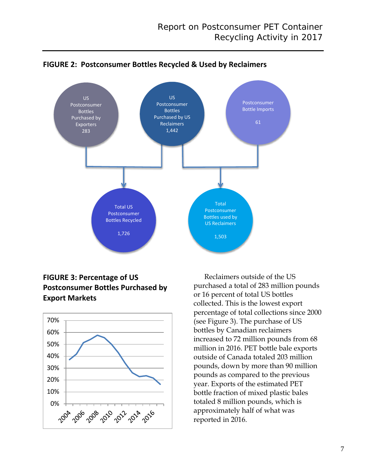

**FIGURE 2: Postconsumer Bottles Recycled & Used by Reclaimers**

# **FIGURE 3: Percentage of US Postconsumer Bottles Purchased by Export Markets**



Reclaimers outside of the US purchased a total of 283 million pounds or 16 percent of total US bottles collected. This is the lowest export percentage of total collections since 2000 (see Figure 3). The purchase of US bottles by Canadian reclaimers increased to 72 million pounds from 68 million in 2016. PET bottle bale exports outside of Canada totaled 203 million pounds, down by more than 90 million pounds as compared to the previous year. Exports of the estimated PET bottle fraction of mixed plastic bales totaled 8 million pounds, which is approximately half of what was reported in 2016.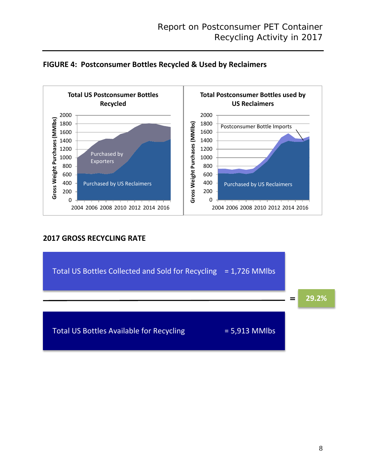



# **2017 GROSS RECYCLING RATE**

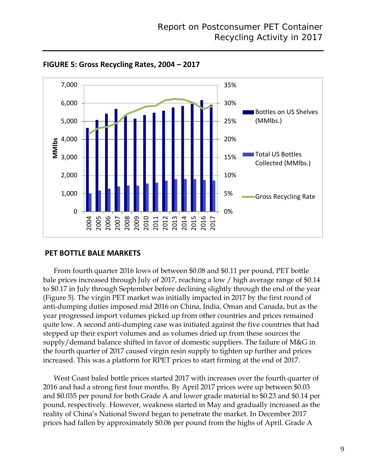

**FIGURE 5: Gross Recycling Rates, 2004 – 2017**

# **PET BOTTLE BALE MARKETS**

From fourth quarter 2016 lows of between \$0.08 and \$0.11 per pound, PET bottle bale prices increased through July of 2017, reaching a low / high average range of \$0.14 to \$0.17 in July through September before declining slightly through the end of the year (Figure 5). The virgin PET market was initially impacted in 2017 by the first round of anti-dumping duties imposed mid 2016 on China, India, Oman and Canada, but as the year progressed import volumes picked up from other countries and prices remained quite low. A second anti-dumping case was initiated against the five countries that had stepped up their export volumes and as volumes dried up from these sources the supply/demand balance shifted in favor of domestic suppliers. The failure of M&G in the fourth quarter of 2017 caused virgin resin supply to tighten up further and prices increased. This was a platform for RPET prices to start firming at the end of 2017.

West Coast baled bottle prices started 2017 with increases over the fourth quarter of 2016 and had a strong first four months. By April 2017 prices were up between \$0.03 and \$0.035 per pound for both Grade A and lower grade material to \$0.23 and \$0.14 per pound, respectively. However, weakness started in May and gradually increased as the reality of China's National Sword began to penetrate the market. In December 2017 prices had fallen by approximately \$0.06 per pound from the highs of April. Grade A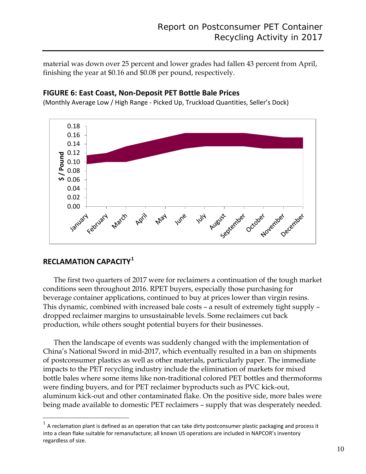material was down over 25 percent and lower grades had fallen 43 percent from April, finishing the year at \$0.16 and \$0.08 per pound, respectively.

#### 0.18 0.16 0.14  $\frac{2}{5}$  0.12<br> **8** 0.10<br> **9** 0.08 0.10 0.08  $\overline{0.06}$ 0.04 0.02 0.00 Yeloruary March April **May** June Aveust critical October provention oecomple 154

# **FIGURE 6: East Coast, Non-Deposit PET Bottle Bale Prices**

(Monthly Average Low / High Range - Picked Up, Truckload Quantities, Seller's Dock)

# **RECLAMATION CAPACITY[1](#page-9-0)**

The first two quarters of 2017 were for reclaimers a continuation of the tough market conditions seen throughout 2016. RPET buyers, especially those purchasing for beverage container applications, continued to buy at prices lower than virgin resins. This dynamic, combined with increased bale costs – a result of extremely tight supply – dropped reclaimer margins to unsustainable levels. Some reclaimers cut back production, while others sought potential buyers for their businesses.

Then the landscape of events was suddenly changed with the implementation of China's National Sword in mid-2017, which eventually resulted in a ban on shipments of postconsumer plastics as well as other materials, particularly paper. The immediate impacts to the PET recycling industry include the elimination of markets for mixed bottle bales where some items like non-traditional colored PET bottles and thermoforms were finding buyers, and for PET reclaimer byproducts such as PVC kick-out, aluminum kick-out and other contaminated flake. On the positive side, more bales were being made available to domestic PET reclaimers – supply that was desperately needed.

<span id="page-9-0"></span> $1$  A reclamation plant is defined as an operation that can take dirty postconsumer plastic packaging and process it into a clean flake suitable for remanufacture; all known US operations are included in NAPCOR's inventory regardless of size.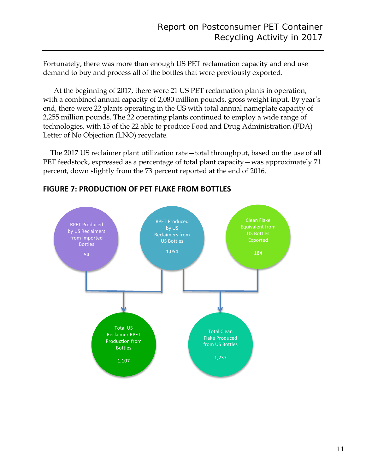Fortunately, there was more than enough US PET reclamation capacity and end use demand to buy and process all of the bottles that were previously exported.

At the beginning of 2017, there were 21 US PET reclamation plants in operation, with a combined annual capacity of 2,080 million pounds, gross weight input. By year's end, there were 22 plants operating in the US with total annual nameplate capacity of 2,255 million pounds. The 22 operating plants continued to employ a wide range of technologies, with 15 of the 22 able to produce Food and Drug Administration (FDA) Letter of No Objection (LNO) recyclate.

 The 2017 US reclaimer plant utilization rate—total throughput, based on the use of all PET feedstock, expressed as a percentage of total plant capacity—was approximately 71 percent, down slightly from the 73 percent reported at the end of 2016.



# **FIGURE 7: PRODUCTION OF PET FLAKE FROM BOTTLES**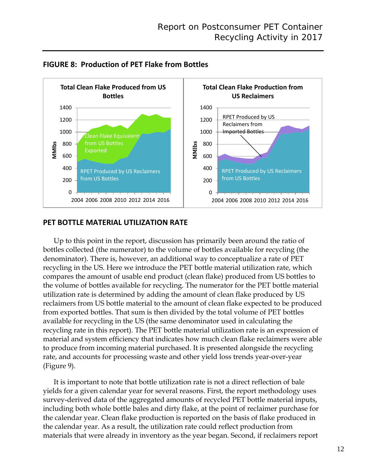



# **PET BOTTLE MATERIAL UTILIZATION RATE**

Up to this point in the report, discussion has primarily been around the ratio of bottles collected (the numerator) to the volume of bottles available for recycling (the denominator). There is, however, an additional way to conceptualize a rate of PET recycling in the US. Here we introduce the PET bottle material utilization rate, which compares the amount of usable end product (clean flake) produced from US bottles to the volume of bottles available for recycling. The numerator for the PET bottle material utilization rate is determined by adding the amount of clean flake produced by US reclaimers from US bottle material to the amount of clean flake expected to be produced from exported bottles. That sum is then divided by the total volume of PET bottles available for recycling in the US (the same denominator used in calculating the recycling rate in this report). The PET bottle material utilization rate is an expression of material and system efficiency that indicates how much clean flake reclaimers were able to produce from incoming material purchased. It is presented alongside the recycling rate, and accounts for processing waste and other yield loss trends year-over-year (Figure 9).

It is important to note that bottle utilization rate is not a direct reflection of bale yields for a given calendar year for several reasons. First, the report methodology uses survey-derived data of the aggregated amounts of recycled PET bottle material inputs, including both whole bottle bales and dirty flake, at the point of reclaimer purchase for the calendar year. Clean flake production is reported on the basis of flake produced in the calendar year. As a result, the utilization rate could reflect production from materials that were already in inventory as the year began. Second, if reclaimers report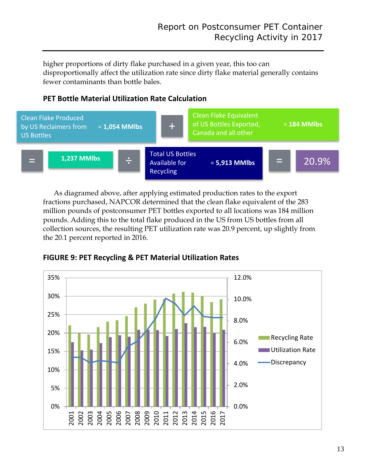higher proportions of dirty flake purchased in a given year, this too can disproportionally affect the utilization rate since dirty flake material generally contains fewer contaminants than bottle bales.

# **PET Bottle Material Utilization Rate Calculation**



As diagramed above, after applying estimated production rates to the export fractions purchased, NAPCOR determined that the clean flake equivalent of the 283 million pounds of postconsumer PET bottles exported to all locations was 184 million pounds. Adding this to the total flake produced in the US from US bottles from all collection sources, the resulting PET utilization rate was 20.9 percent, up slightly from the 20.1 percent reported in 2016.



**FIGURE 9: PET Recycling & PET Material Utilization Rates**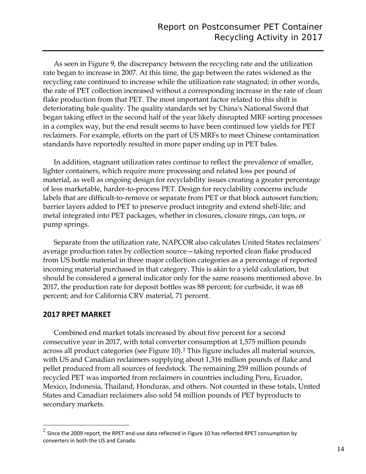As seen in Figure 9, the discrepancy between the recycling rate and the utilization rate began to increase in 2007. At this time, the gap between the rates widened as the recycling rate continued to increase while the utilization rate stagnated; in other words, the rate of PET collection increased without a corresponding increase in the rate of clean flake production from that PET. The most important factor related to this shift is deteriorating bale quality. The quality standards set by China's National Sword that began taking effect in the second half of the year likely disrupted MRF sorting processes in a complex way, but the end result seems to have been continued low yields for PET reclaimers. For example, efforts on the part of US MRFs to meet Chinese contamination standards have reportedly resulted in more paper ending up in PET bales.

In addition, stagnant utilization rates continue to reflect the prevalence of smaller, lighter containers, which require more processing and related loss per pound of material, as well as ongoing design for recyclability issues creating a greater percentage of less marketable, harder-to-process PET. Design for recyclability concerns include labels that are difficult-to-remove or separate from PET or that block autosort function; barrier layers added to PET to preserve product integrity and extend shelf-life; and metal integrated into PET packages, whether in closures, closure rings, can tops, or pump springs.

Separate from the utilization rate, NAPCOR also calculates United States reclaimers' average production rates by collection source—taking reported clean flake produced from US bottle material in three major collection categories as a percentage of reported incoming material purchased in that category. This is akin to a yield calculation, but should be considered a general indicator only for the same reasons mentioned above. In 2017, the production rate for deposit bottles was 88 percent; for curbside, it was 68 percent; and for California CRV material, 71 percent.

# **2017 RPET MARKET**

Combined end market totals increased by about five percent for a second consecutive year in 2017, with total converter consumption at 1,575 million pounds across all product categories (see Figure 10).[2](#page-13-0) This figure includes all material sources, with US and Canadian reclaimers supplying about 1,316 million pounds of flake and pellet produced from all sources of feedstock. The remaining 259 million pounds of recycled PET was imported from reclaimers in countries including Peru, Ecuador, Mexico, Indonesia, Thailand, Honduras, and others. Not counted in these totals, United States and Canadian reclaimers also sold 54 million pounds of PET byproducts to secondary markets.

<span id="page-13-0"></span> $2$  Since the 2009 report, the RPET end-use data reflected in Figure 10 has reflected RPET consumption by converters in both the US and Canada.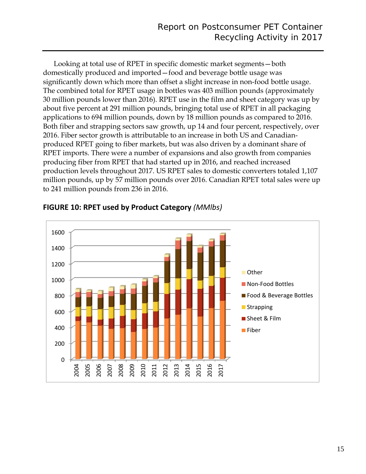Looking at total use of RPET in specific domestic market segments—both domestically produced and imported—food and beverage bottle usage was significantly down which more than offset a slight increase in non-food bottle usage. The combined total for RPET usage in bottles was 403 million pounds (approximately 30 million pounds lower than 2016). RPET use in the film and sheet category was up by about five percent at 291 million pounds, bringing total use of RPET in all packaging applications to 694 million pounds, down by 18 million pounds as compared to 2016. Both fiber and strapping sectors saw growth, up 14 and four percent, respectively, over 2016. Fiber sector growth is attributable to an increase in both US and Canadianproduced RPET going to fiber markets, but was also driven by a dominant share of RPET imports. There were a number of expansions and also growth from companies producing fiber from RPET that had started up in 2016, and reached increased production levels throughout 2017. US RPET sales to domestic converters totaled 1,107 million pounds, up by 57 million pounds over 2016. Canadian RPET total sales were up to 241 million pounds from 236 in 2016.



# **FIGURE 10: RPET used by Product Category** *(MMlbs)*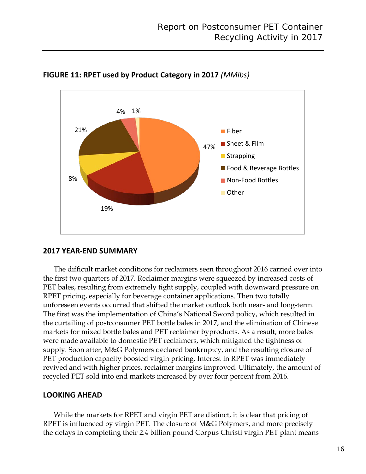

**FIGURE 11: RPET used by Product Category in 2017** *(MMlbs)*

# **2017 YEAR-END SUMMARY**

The difficult market conditions for reclaimers seen throughout 2016 carried over into the first two quarters of 2017. Reclaimer margins were squeezed by increased costs of PET bales, resulting from extremely tight supply, coupled with downward pressure on RPET pricing, especially for beverage container applications. Then two totally unforeseen events occurred that shifted the market outlook both near- and long-term. The first was the implementation of China's National Sword policy, which resulted in the curtailing of postconsumer PET bottle bales in 2017, and the elimination of Chinese markets for mixed bottle bales and PET reclaimer byproducts. As a result, more bales were made available to domestic PET reclaimers, which mitigated the tightness of supply. Soon after, M&G Polymers declared bankruptcy, and the resulting closure of PET production capacity boosted virgin pricing. Interest in RPET was immediately revived and with higher prices, reclaimer margins improved. Ultimately, the amount of recycled PET sold into end markets increased by over four percent from 2016.

# **LOOKING AHEAD**

While the markets for RPET and virgin PET are distinct, it is clear that pricing of RPET is influenced by virgin PET. The closure of M&G Polymers, and more precisely the delays in completing their 2.4 billion pound Corpus Christi virgin PET plant means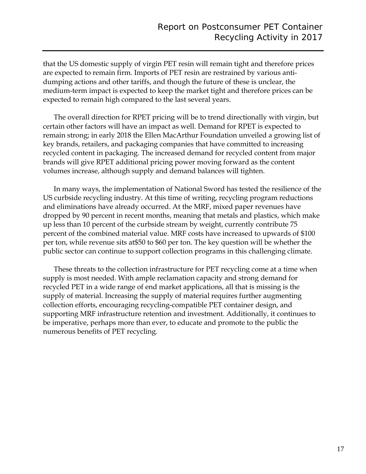that the US domestic supply of virgin PET resin will remain tight and therefore prices are expected to remain firm. Imports of PET resin are restrained by various antidumping actions and other tariffs, and though the future of these is unclear, the medium-term impact is expected to keep the market tight and therefore prices can be expected to remain high compared to the last several years.

The overall direction for RPET pricing will be to trend directionally with virgin, but certain other factors will have an impact as well. Demand for RPET is expected to remain strong; in early 2018 the Ellen MacArthur Foundation unveiled a growing list of key brands, retailers, and packaging companies that have committed to increasing recycled content in packaging. The increased demand for recycled content from major brands will give RPET additional pricing power moving forward as the content volumes increase, although supply and demand balances will tighten.

In many ways, the implementation of National Sword has tested the resilience of the US curbside recycling industry. At this time of writing, recycling program reductions and eliminations have already occurred. At the MRF, mixed paper revenues have dropped by 90 percent in recent months, meaning that metals and plastics, which make up less than 10 percent of the curbside stream by weight, currently contribute 75 percent of the combined material value. MRF costs have increased to upwards of \$100 per ton, while revenue sits at\$50 to \$60 per ton. The key question will be whether the public sector can continue to support collection programs in this challenging climate.

These threats to the collection infrastructure for PET recycling come at a time when supply is most needed. With ample reclamation capacity and strong demand for recycled PET in a wide range of end market applications, all that is missing is the supply of material. Increasing the supply of material requires further augmenting collection efforts, encouraging recycling-compatible PET container design, and supporting MRF infrastructure retention and investment. Additionally, it continues to be imperative, perhaps more than ever, to educate and promote to the public the numerous benefits of PET recycling.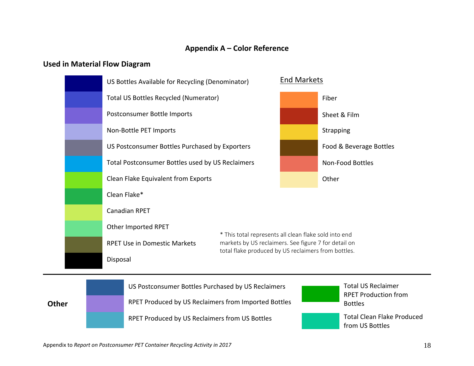# **Appendix A – Color Reference**

# **Used in Material Flow Diagram**

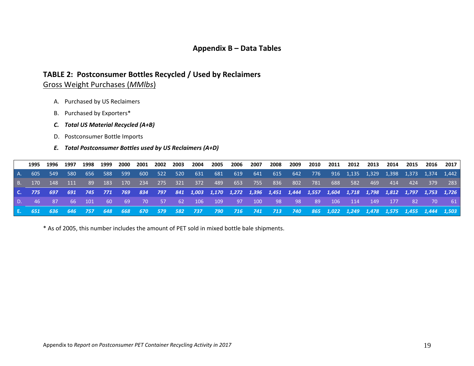# **Appendix B – Data Tables**

# **TABLE 2: Postconsumer Bottles Recycled / Used by Reclaimers**

# Gross Weight Purchases (*MMlbs*)

- A. Purchased by US Reclaimers
- B. Purchased by Exporters\*
- *C. Total US Material Recycled (A+B)*
- D. Postconsumer Bottle Imports

#### *E. Total Postconsumer Bottles used by US Reclaimers (A+D)*

|  |  |  |  |  |  |  |  |  |  | 1995 1996 1997 1998 1999 2000 2001 2002 2003 2004 2005 2006 2007 2008 2009 2010 2011 2012 2013 2014 2015 2016 2017         |  |  |
|--|--|--|--|--|--|--|--|--|--|----------------------------------------------------------------------------------------------------------------------------|--|--|
|  |  |  |  |  |  |  |  |  |  | A. 605 549 580 656 588 599 600 522 520 631 681 619 641 615 642 776 916 1,135 1,329 1,398 1,373 1,374 1,442                 |  |  |
|  |  |  |  |  |  |  |  |  |  | 8. 170 148 111 89 183 170 234 275 321 372 489 653 755 836 802 781 688 582 469 414 424 379 283                              |  |  |
|  |  |  |  |  |  |  |  |  |  | C. 775 697 691 745 771 769 834 797 841 1,003 1,170 1,272 1,396 1,451 1,444 1,557 1,604 1,718 1,798 1,812 1,797 1,753 1,726 |  |  |
|  |  |  |  |  |  |  |  |  |  | 0. 46 87 66 101 60 69 70 57 62 106 109 97 100 98 98 89 106 114 149 177 82 70 61                                            |  |  |
|  |  |  |  |  |  |  |  |  |  | E. 651 636 646 757 648 668 670 579 582 737 790 716 741 713 740 865 1,022 1,249 1,478 1,575 1,455 1,444 1,503               |  |  |

\* As of 2005, this number includes the amount of PET sold in mixed bottle bale shipments.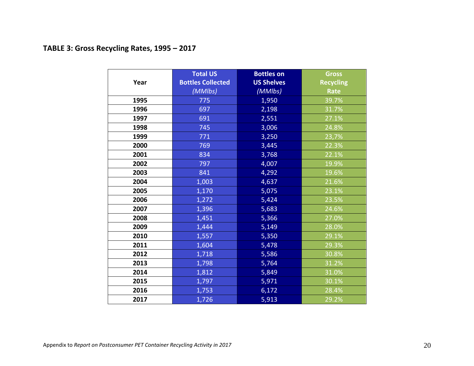# **TABLE 3: Gross Recycling Rates, 1995 – 2017**

|      | <b>Total US</b>          | <b>Bottles on</b> | <b>Gross</b>     |
|------|--------------------------|-------------------|------------------|
| Year | <b>Bottles Collected</b> | <b>US Shelves</b> | <b>Recycling</b> |
|      | (MMlbs)                  | (MMIbs)           | <b>Rate</b>      |
| 1995 | 775                      | 1,950             | 39.7%            |
| 1996 | 697                      | 2,198             | 31.7%            |
| 1997 | 691                      | 2,551             | 27.1%            |
| 1998 | 745                      | 3,006             | 24.8%            |
| 1999 | 771                      | 3,250             | 23,7%            |
| 2000 | 769                      | 3,445             | 22.3%            |
| 2001 | 834                      | 3,768             | 22.1%            |
| 2002 | 797                      | 4,007             | 19.9%            |
| 2003 | 841                      | 4,292             | 19.6%            |
| 2004 | 1,003                    | 4,637             | 21.6%            |
| 2005 | 1,170                    | 5,075             | 23.1%            |
| 2006 | 1,272                    | 5,424             | 23.5%            |
| 2007 | 1,396                    | 5,683             | 24.6%            |
| 2008 | 1,451                    | 5,366             | 27.0%            |
| 2009 | 1,444                    | 5,149             | 28.0%            |
| 2010 | 1,557                    | 5,350             | 29.1%            |
| 2011 | 1,604                    | 5,478             | 29.3%            |
| 2012 | 1,718                    | 5,586             | 30.8%            |
| 2013 | 1,798                    | 5,764             | 31.2%            |
| 2014 | 1,812                    | 5,849             | 31.0%            |
| 2015 | 1,797                    | 5,971             | 30.1%            |
| 2016 | 1,753                    | 6,172             | 28.4%            |
| 2017 | 1,726                    | 5,913             | 29.2%            |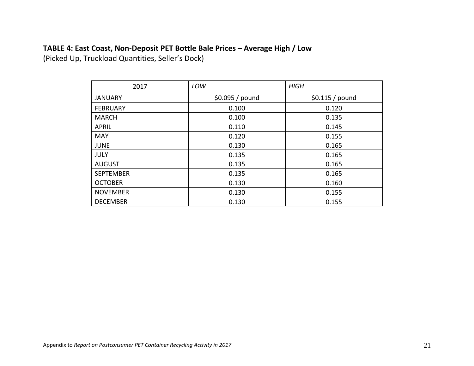# **TABLE 4: East Coast, Non-Deposit PET Bottle Bale Prices – Average High / Low**

(Picked Up, Truckload Quantities, Seller's Dock)

| 2017             | LOW             | <b>HIGH</b>      |
|------------------|-----------------|------------------|
| <b>JANUARY</b>   | \$0.095 / pound | $$0.115 /$ pound |
| <b>FEBRUARY</b>  | 0.100           | 0.120            |
| <b>MARCH</b>     | 0.100           | 0.135            |
| <b>APRIL</b>     | 0.110           | 0.145            |
| <b>MAY</b>       | 0.120           | 0.155            |
| <b>JUNE</b>      | 0.130           | 0.165            |
| <b>JULY</b>      | 0.135           | 0.165            |
| <b>AUGUST</b>    | 0.135           | 0.165            |
| <b>SEPTEMBER</b> | 0.135           | 0.165            |
| <b>OCTOBER</b>   | 0.130           | 0.160            |
| <b>NOVEMBER</b>  | 0.130           | 0.155            |
| <b>DECEMBER</b>  | 0.130           | 0.155            |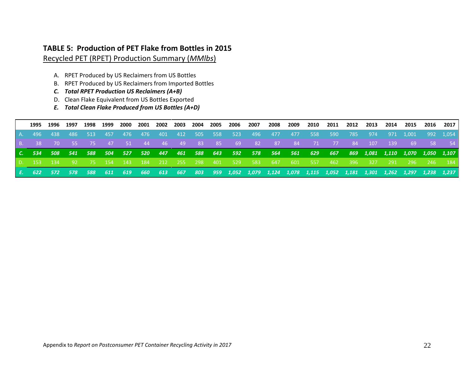# **TABLE 5: Production of PET Flake from Bottles in 2015** Recycled PET (RPET) Production Summary (*MMlbs*)

- A. RPET Produced by US Reclaimers from US Bottles
- B. RPET Produced by US Reclaimers from Imported Bottles
- *C. Total RPET Production US Reclaimers (A+B)*
- D. Clean Flake Equivalent from US Bottles Exported
- *E. Total Clean Flake Produced from US Bottles (A+D)*

|  |                |  |         |  |  |  |  |  |  |  | 1995 1996 1997 1998 1999 2000 2001 2002 2003 2004 2005 2006 2007 2008 2009 2010 2011 2012 2013 2014 2015 2016 2017 |        |      |
|--|----------------|--|---------|--|--|--|--|--|--|--|--------------------------------------------------------------------------------------------------------------------|--------|------|
|  | A. 496 438 486 |  | 513 457 |  |  |  |  |  |  |  | 476 476 401 412 505 558 523 496 477 477 558 590 785 974 971 1,001 992 1,054                                        |        |      |
|  |                |  |         |  |  |  |  |  |  |  | 8. 38 70 55 75 47 51 44 46 49 83 85 69 82 87 84 71 77 84 107 139 69                                                | - 58 - | - 54 |
|  |                |  |         |  |  |  |  |  |  |  |                                                                                                                    |        |      |
|  |                |  |         |  |  |  |  |  |  |  | C. 534 508 541 588 504 527 520 447 461 588 643 592 578 564 561 629 667 869 1,081 1,110 1,070 1,050 1,107           |        |      |
|  | D. 153 134     |  |         |  |  |  |  |  |  |  | 92 75 154 143 184 212 255 298 401 529 583 647 601 557 462 396 327 291 296 246 184                                  |        |      |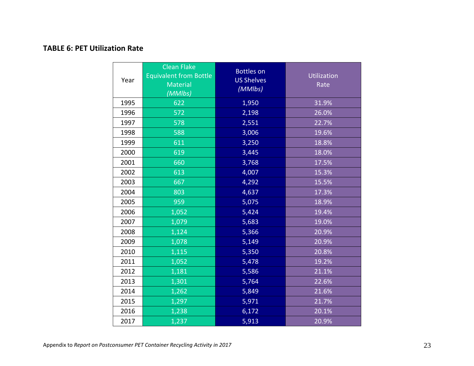# **TABLE 6: PET Utilization Rate**

| Year | <b>Clean Flake</b><br><b>Equivalent from Bottle</b><br>Material<br>(MMlbs) | <b>Bottles on</b><br><b>US Shelves</b><br>(MMIbs) | Utilization<br>Rate |
|------|----------------------------------------------------------------------------|---------------------------------------------------|---------------------|
| 1995 | 622                                                                        | 1,950                                             | 31.9%               |
| 1996 | 572                                                                        | 2,198                                             | 26.0%               |
| 1997 | 578                                                                        | 2,551                                             | 22.7%               |
| 1998 | 588                                                                        | 3,006                                             | 19.6%               |
| 1999 | 611                                                                        | 3,250                                             | 18.8%               |
| 2000 | 619                                                                        | 3,445                                             | 18.0%               |
| 2001 | 660                                                                        | 3,768                                             | 17.5%               |
| 2002 | 613                                                                        | 4,007                                             | 15.3%               |
| 2003 | 667                                                                        | 4,292                                             | 15.5%               |
| 2004 | 803                                                                        | 4,637                                             | 17.3%               |
| 2005 | 959                                                                        | 5,075                                             | $18.9\%$            |
| 2006 | 1,052                                                                      | 5,424                                             | 19.4%               |
| 2007 | 1,079                                                                      | 5,683                                             | 19.0%               |
| 2008 | 1,124                                                                      | 5,366                                             | 20.9%               |
| 2009 | 1,078                                                                      | 5,149                                             | 20.9%               |
| 2010 | 1,115                                                                      | 5,350                                             | 20.8%               |
| 2011 | 1,052                                                                      | 5,478                                             | 19.2%               |
| 2012 | 1,181                                                                      | 5,586                                             | 21.1%               |
| 2013 | 1,301                                                                      | 5,764                                             | 22.6%               |
| 2014 | 1,262                                                                      | 5,849                                             | 21.6%               |
| 2015 | 1,297                                                                      | 5,971                                             | 21.7%               |
| 2016 | 1,238                                                                      | 6,172                                             | 20.1%               |
| 2017 | 1,237                                                                      | 5,913                                             | 20.9%               |